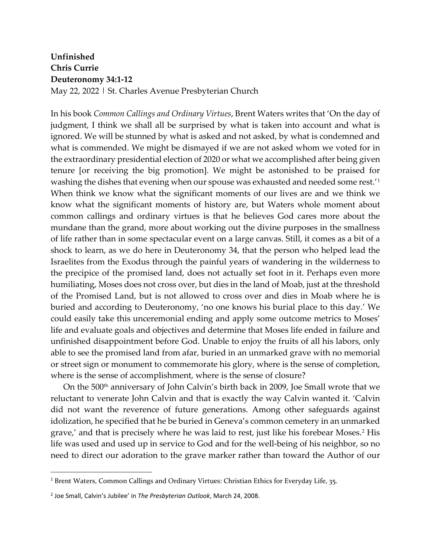## **Unfinished Chris Currie Deuteronomy 34:1-12**

May 22, 2022 | St. Charles Avenue Presbyterian Church

In his book *Common Callings and Ordinary Virtues*, Brent Waters writes that 'On the day of judgment, I think we shall all be surprised by what is taken into account and what is ignored. We will be stunned by what is asked and not asked, by what is condemned and what is commended. We might be dismayed if we are not asked whom we voted for in the extraordinary presidential election of 2020 or what we accomplished after being given tenure [or receiving the big promotion]. We might be astonished to be praised for washing the dishes that evening when our spouse was exhausted and needed some rest.'[1](#page-0-0) When think we know what the significant moments of our lives are and we think we know what the significant moments of history are, but Waters whole moment about common callings and ordinary virtues is that he believes God cares more about the mundane than the grand, more about working out the divine purposes in the smallness of life rather than in some spectacular event on a large canvas. Still, it comes as a bit of a shock to learn, as we do here in Deuteronomy 34, that the person who helped lead the Israelites from the Exodus through the painful years of wandering in the wilderness to the precipice of the promised land, does not actually set foot in it. Perhaps even more humiliating, Moses does not cross over, but dies in the land of Moab, just at the threshold of the Promised Land, but is not allowed to cross over and dies in Moab where he is buried and according to Deuteronomy, 'no one knows his burial place to this day.' We could easily take this unceremonial ending and apply some outcome metrics to Moses' life and evaluate goals and objectives and determine that Moses life ended in failure and unfinished disappointment before God. Unable to enjoy the fruits of all his labors, only able to see the promised land from afar, buried in an unmarked grave with no memorial or street sign or monument to commemorate his glory, where is the sense of completion, where is the sense of accomplishment, where is the sense of closure?

On the 500<sup>th</sup> anniversary of John Calvin's birth back in 2009, Joe Small wrote that we reluctant to venerate John Calvin and that is exactly the way Calvin wanted it. 'Calvin did not want the reverence of future generations. Among other safeguards against idolization, he specified that he be buried in Geneva's common cemetery in an unmarked grave,' and that is precisely where he was laid to rest, just like his forebear Moses.[2](#page-0-1) His life was used and used up in service to God and for the well-being of his neighbor, so no need to direct our adoration to the grave marker rather than toward the Author of our

<span id="page-0-0"></span><sup>1</sup> Brent Waters, Common Callings and Ordinary Virtues: Christian Ethics for Everyday Life, 35.

<span id="page-0-1"></span><sup>2</sup> Joe Small, Calvin's Jubilee' in *The Presbyterian Outlook*, March 24, 2008.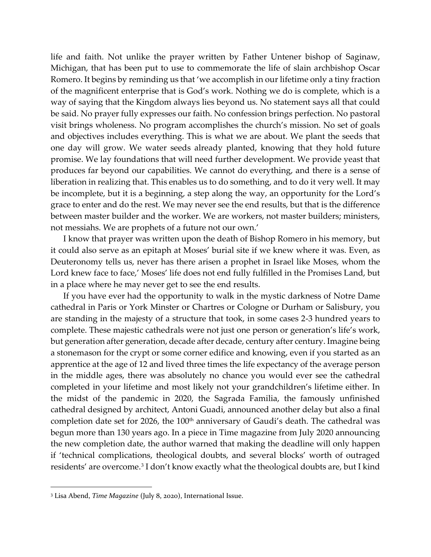life and faith. Not unlike the prayer written by Father Untener bishop of Saginaw, Michigan, that has been put to use to commemorate the life of slain archbishop Oscar Romero. It begins by reminding us that 'we accomplish in our lifetime only a tiny fraction of the magnificent enterprise that is God's work. Nothing we do is complete, which is a way of saying that the Kingdom always lies beyond us. No statement says all that could be said. No prayer fully expresses our faith. No confession brings perfection. No pastoral visit brings wholeness. No program accomplishes the church's mission. No set of goals and objectives includes everything. This is what we are about. We plant the seeds that one day will grow. We water seeds already planted, knowing that they hold future promise. We lay foundations that will need further development. We provide yeast that produces far beyond our capabilities. We cannot do everything, and there is a sense of liberation in realizing that. This enables us to do something, and to do it very well. It may be incomplete, but it is a beginning, a step along the way, an opportunity for the Lord's grace to enter and do the rest. We may never see the end results, but that is the difference between master builder and the worker. We are workers, not master builders; ministers, not messiahs. We are prophets of a future not our own.'

I know that prayer was written upon the death of Bishop Romero in his memory, but it could also serve as an epitaph at Moses' burial site if we knew where it was. Even, as Deuteronomy tells us, never has there arisen a prophet in Israel like Moses, whom the Lord knew face to face,' Moses' life does not end fully fulfilled in the Promises Land, but in a place where he may never get to see the end results.

If you have ever had the opportunity to walk in the mystic darkness of Notre Dame cathedral in Paris or York Minster or Chartres or Cologne or Durham or Salisbury, you are standing in the majesty of a structure that took, in some cases 2-3 hundred years to complete. These majestic cathedrals were not just one person or generation's life's work, but generation after generation, decade after decade, century after century. Imagine being a stonemason for the crypt or some corner edifice and knowing, even if you started as an apprentice at the age of 12 and lived three times the life expectancy of the average person in the middle ages, there was absolutely no chance you would ever see the cathedral completed in your lifetime and most likely not your grandchildren's lifetime either. In the midst of the pandemic in 2020, the Sagrada Familia, the famously unfinished cathedral designed by architect, Antoni Guadi, announced another delay but also a final completion date set for 2026, the 100<sup>th</sup> anniversary of Gaudi's death. The cathedral was begun more than 130 years ago. In a piece in Time magazine from July 2020 announcing the new completion date, the author warned that making the deadline will only happen if 'technical complications, theological doubts, and several blocks' worth of outraged residents' are overcome.[3](#page-1-0) I don't know exactly what the theological doubts are, but I kind

<span id="page-1-0"></span><sup>3</sup> Lisa Abend, *Time Magazine* (July 8, 2020), International Issue.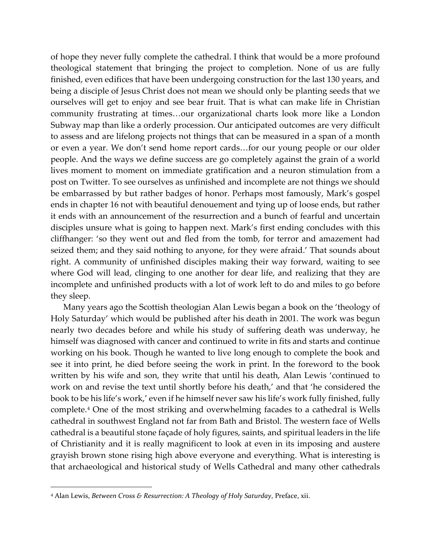of hope they never fully complete the cathedral. I think that would be a more profound theological statement that bringing the project to completion. None of us are fully finished, even edifices that have been undergoing construction for the last 130 years, and being a disciple of Jesus Christ does not mean we should only be planting seeds that we ourselves will get to enjoy and see bear fruit. That is what can make life in Christian community frustrating at times…our organizational charts look more like a London Subway map than like a orderly procession. Our anticipated outcomes are very difficult to assess and are lifelong projects not things that can be measured in a span of a month or even a year. We don't send home report cards…for our young people or our older people. And the ways we define success are go completely against the grain of a world lives moment to moment on immediate gratification and a neuron stimulation from a post on Twitter. To see ourselves as unfinished and incomplete are not things we should be embarrassed by but rather badges of honor. Perhaps most famously, Mark's gospel ends in chapter 16 not with beautiful denouement and tying up of loose ends, but rather it ends with an announcement of the resurrection and a bunch of fearful and uncertain disciples unsure what is going to happen next. Mark's first ending concludes with this cliffhanger: 'so they went out and fled from the tomb, for terror and amazement had seized them; and they said nothing to anyone, for they were afraid.' That sounds about right. A community of unfinished disciples making their way forward, waiting to see where God will lead, clinging to one another for dear life, and realizing that they are incomplete and unfinished products with a lot of work left to do and miles to go before they sleep.

Many years ago the Scottish theologian Alan Lewis began a book on the 'theology of Holy Saturday' which would be published after his death in 2001. The work was begun nearly two decades before and while his study of suffering death was underway, he himself was diagnosed with cancer and continued to write in fits and starts and continue working on his book. Though he wanted to live long enough to complete the book and see it into print, he died before seeing the work in print. In the foreword to the book written by his wife and son, they write that until his death, Alan Lewis 'continued to work on and revise the text until shortly before his death,' and that 'he considered the book to be his life's work,' even if he himself never saw his life's work fully finished, fully complete.[4](#page-2-0) One of the most striking and overwhelming facades to a cathedral is Wells cathedral in southwest England not far from Bath and Bristol. The western face of Wells cathedral is a beautiful stone façade of holy figures, saints, and spiritual leaders in the life of Christianity and it is really magnificent to look at even in its imposing and austere grayish brown stone rising high above everyone and everything. What is interesting is that archaeological and historical study of Wells Cathedral and many other cathedrals

<span id="page-2-0"></span><sup>4</sup> Alan Lewis, *Between Cross & Resurrection: A Theology of Holy Saturday*, Preface, xii.